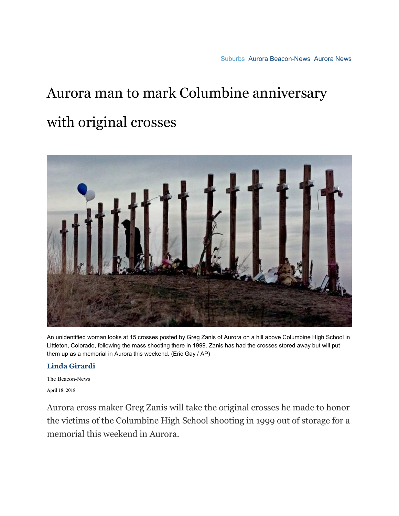## Aurora man to mark Columbine anniversary

## with original crosses



An unidentified woman looks at 15 crosses posted by Greg Zanis of Aurora on a hill above Columbine High School in Littleton, Colorado, following the mass shooting there in 1999. Zanis has had the crosses stored away but will put them up as a memorial in Aurora this weekend. (Eric Gay / AP)

## **[Linda Girardi](https://www.chicagotribune.com/suburbs/chi-linda-girardi-20150204-staff.html#nt=byline)**

The Beacon-News April 18, 2018

Aurora cross maker Greg Zanis will take the original crosses he made to honor the victims of the Columbine High School shooting in 1999 out of storage for a memorial this weekend in Aurora.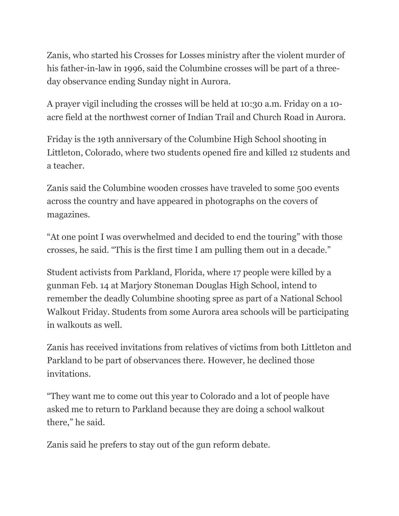Zanis, who started his Crosses for Losses ministry after the violent murder of his father-in-law in 1996, said the Columbine crosses will be part of a threeday observance ending Sunday night in Aurora.

A prayer vigil including the crosses will be held at 10:30 a.m. Friday on a 10 acre field at the northwest corner of Indian Trail and Church Road in Aurora.

Friday is the 19th anniversary of the Columbine High School shooting in Littleton, Colorado, where two students opened fire and killed 12 students and a teacher.

Zanis said the Columbine wooden crosses have traveled to some 500 events across the country and have appeared in photographs on the covers of magazines.

"At one point I was overwhelmed and decided to end the touring" with those crosses, he said. "This is the first time I am pulling them out in a decade."

Student activists from Parkland, Florida, where 17 people were killed by a gunman Feb. 14 at Marjory Stoneman Douglas High School, intend to remember the deadly Columbine shooting spree as part of a National School Walkout Friday. Students from some Aurora area schools will be participating in walkouts as well.

Zanis has received invitations from relatives of victims from both Littleton and Parkland to be part of observances there. However, he declined those invitations.

"They want me to come out this year to Colorado and a lot of people have asked me to return to Parkland because they are doing a school walkout there," he said.

Zanis said he prefers to stay out of the gun reform debate.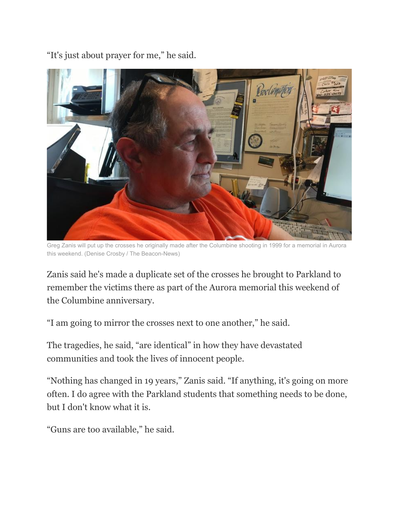"It's just about prayer for me," he said.



Greg Zanis will put up the crosses he originally made after the Columbine shooting in 1999 for a memorial in Aurora this weekend. (Denise Crosby / The Beacon-News)

Zanis said he's made a duplicate set of the crosses he brought to Parkland to remember the victims there as part of the Aurora memorial this weekend of the Columbine anniversary.

"I am going to mirror the crosses next to one another," he said.

The tragedies, he said, "are identical" in how they have devastated communities and took the lives of innocent people.

"Nothing has changed in 19 years," Zanis said. "If anything, it's going on more often. I do agree with the Parkland students that something needs to be done, but I don't know what it is.

"Guns are too available," he said.